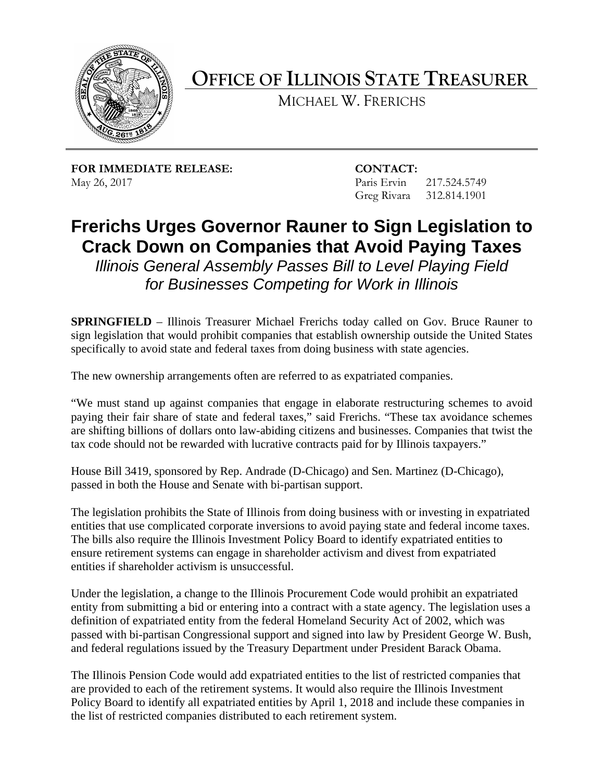

**OFFICE OF ILLINOIS STATE TREASURER** 

MICHAEL W. FRERICHS

**FOR IMMEDIATE RELEASE: CONTACT:** May 26, 2017 **Paris Ervin** 217.524.5749

Greg Rivara 312.814.1901

## **Crack Down on Companies that Avoid Paying Taxes Frerichs Urges Governor Rauner to Sign Legislation to**

 *for Businesses Competing for Work in Illinois Illinois General Assembly Passes Bill to Level Playing Field* 

 **SPRINGFIELD** – Illinois Treasurer Michael Frerichs today called on Gov. Bruce Rauner to sign legislation that would prohibit companies that establish ownership outside the United States specifically to avoid state and federal taxes from doing business with state agencies.

The new ownership arrangements often are referred to as expatriated companies.

 The new ownership arrangements often are referred to as expatriated companies. "We must stand up against companies that engage in elaborate restructuring schemes to avoid are shifting billions of dollars onto law-abiding citizens and businesses. Companies that twist the tax code should not be rewarded with lucrative contracts paid for by Illinois taxpayers." paying their fair share of state and federal taxes," said Frerichs. "These tax avoidance schemes

passed in both the House and Senate with bi-partisan support. House Bill 3419, sponsored by Rep. Andrade (D-Chicago) and Sen. Martinez (D-Chicago),

The legislation prohibits the State of Illinois from doing business with or investing in expatriated entities that use complicated corporate inversions to avoid paying state and federal income taxes. The bills also require the Illinois Investment Policy Board to identify expatriated entities to ensure retirement systems can engage in shareholder activism and divest from expatriated entities if shareholder activism is unsuccessful.

Under the legislation, a change to the Illinois Procurement Code would prohibit an expatriated entity from submitting a bid or entering into a contract with a state agency. The legislation uses a definition of expatriated entity from the federal Homeland Security Act of 2002, which was passed with bi-partisan Congressional support and signed into law by President George W. Bush, and federal regulations issued by the Treasury Department under President Barack Obama.

The Illinois Pension Code would add expatriated entities to the list of restricted companies that are provided to each of the retirement systems. It would also require the Illinois Investment Policy Board to identify all expatriated entities by April 1, 2018 and include these companies in the list of restricted companies distributed to each retirement system.